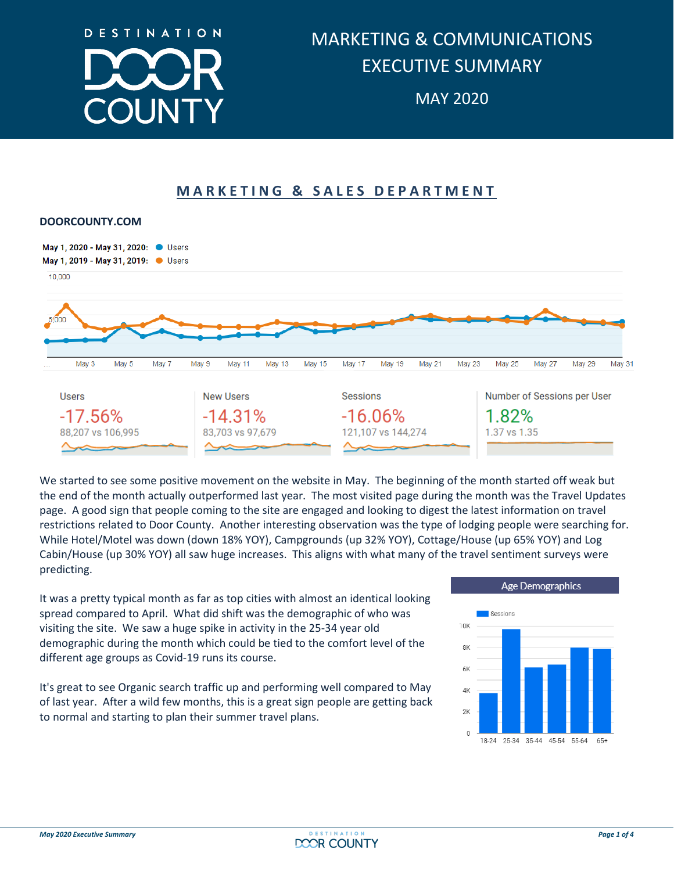

# **MARKETING & SALES DEPARTMENT**



We started to see some positive movement on the website in May. The beginning of the month started off weak but the end of the month actually outperformed last year. The most visited page during the month was the Travel Updates page. A good sign that people coming to the site are engaged and looking to digest the latest information on travel restrictions related to Door County. Another interesting observation was the type of lodging people were searching for. While Hotel/Motel was down (down 18% YOY), Campgrounds (up 32% YOY), Cottage/House (up 65% YOY) and Log Cabin/House (up 30% YOY) all saw huge increases. This aligns with what many of the travel sentiment surveys were predicting.

It was a pretty typical month as far as top cities with almost an identical looking spread compared to April. What did shift was the demographic of who was visiting the site. We saw a huge spike in activity in the 25-34 year old demographic during the month which could be tied to the comfort level of the different age groups as Covid-19 runs its course.

It's great to see Organic search traffic up and performing well compared to May of last year. After a wild few months, this is a great sign people are getting back to normal and starting to plan their summer travel plans.



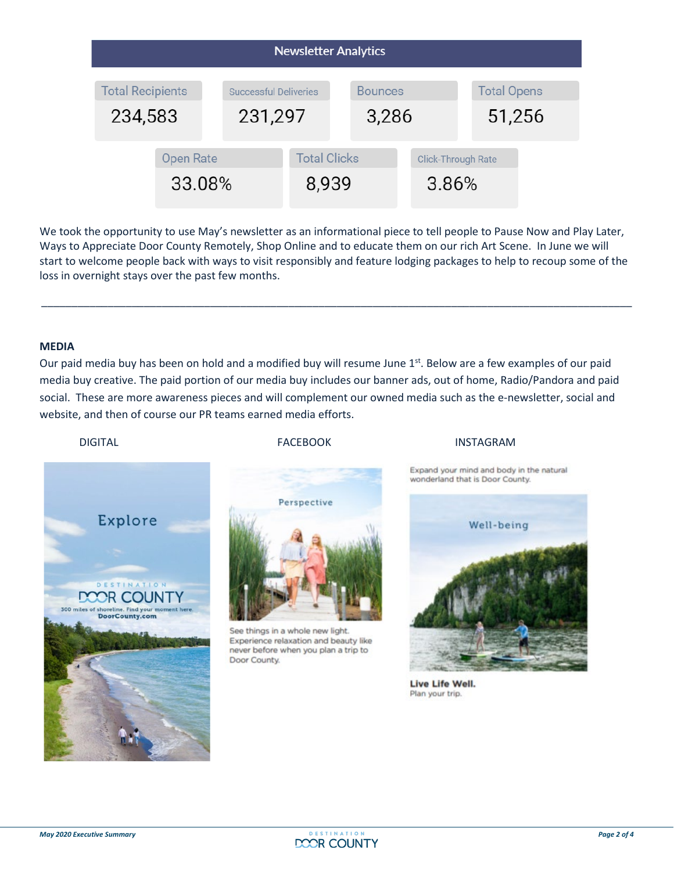| <b>Newsletter Analytics</b>                                                   |  |  |                              |                         |                                    |                              |  |
|-------------------------------------------------------------------------------|--|--|------------------------------|-------------------------|------------------------------------|------------------------------|--|
| <b>Total Recipients</b><br><b>Successful Deliveries</b><br>231,297<br>234,583 |  |  |                              | <b>Bounces</b><br>3,286 |                                    | <b>Total Opens</b><br>51,256 |  |
| <b>Open Rate</b><br>33.08%                                                    |  |  | <b>Total Clicks</b><br>8,939 |                         | <b>Click-Through Rate</b><br>3.86% |                              |  |

We took the opportunity to use May's newsletter as an informational piece to tell people to Pause Now and Play Later, Ways to Appreciate Door County Remotely, Shop Online and to educate them on our rich Art Scene. In June we will start to welcome people back with ways to visit responsibly and feature lodging packages to help to recoup some of the loss in overnight stays over the past few months.

\_\_\_\_\_\_\_\_\_\_\_\_\_\_\_\_\_\_\_\_\_\_\_\_\_\_\_\_\_\_\_\_\_\_\_\_\_\_\_\_\_\_\_\_\_\_\_\_\_\_\_\_\_\_\_\_\_\_\_\_\_\_\_\_\_\_\_\_\_\_\_\_\_\_\_\_\_\_\_\_\_\_\_\_\_\_\_\_\_\_\_\_\_\_\_\_\_\_

## **MEDIA**

Our paid media buy has been on hold and a modified buy will resume June  $1<sup>st</sup>$ . Below are a few examples of our paid media buy creative. The paid portion of our media buy includes our banner ads, out of home, Radio/Pandora and paid social. These are more awareness pieces and will complement our owned media such as the e-newsletter, social and website, and then of course our PR teams earned media efforts.

#### DIGITAL **EXAMPLE THE RESERVITE STAGE OF A RESERVE THE RESERVENCE OF A RESERVE THE RESERVENCE OF A RESERVENCE O**



Perspective

See things in a whole new light. Experience relaxation and beauty like never before when you plan a trip to Door County.

Expand your mind and body in the natural wonderland that is Door County.



Live Life Well. Plan your trip.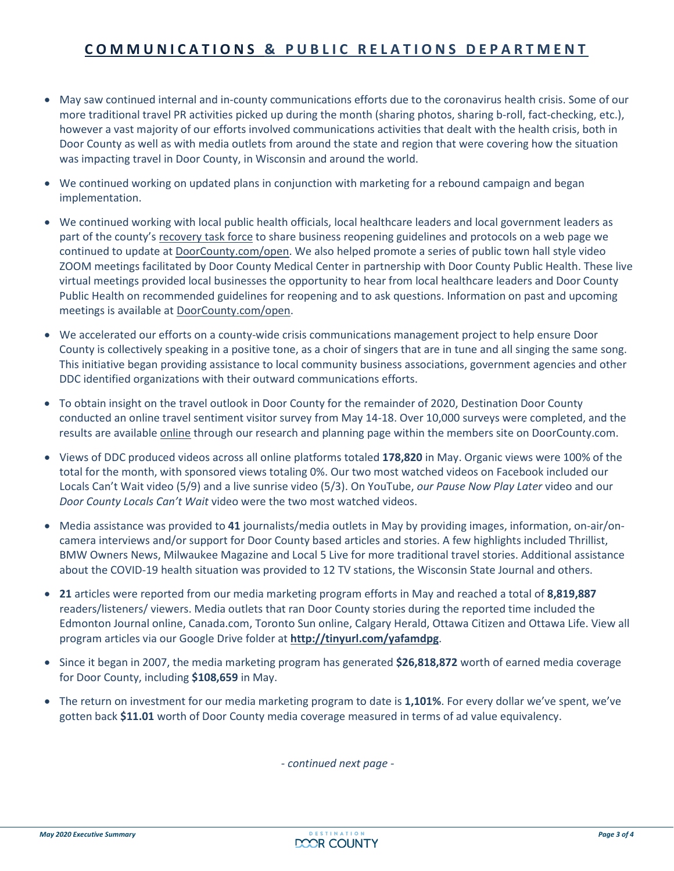# **COMMUNICATIONS & PUBLIC RELATIONS DEPARTMENT**

- May saw continued internal and in-county communications efforts due to the coronavirus health crisis. Some of our more traditional travel PR activities picked up during the month (sharing photos, sharing b-roll, fact-checking, etc.), however a vast majority of our efforts involved communications activities that dealt with the health crisis, both in Door County as well as with media outlets from around the state and region that were covering how the situation was impacting travel in Door County, in Wisconsin and around the world.
- We continued working on updated plans in conjunction with marketing for a rebound campaign and began implementation.
- We continued working with local public health officials, local healthcare leaders and local government leaders as part of the county's [recovery](https://www.co.door.wi.gov/DocumentCenter/View/2470/Press-Release-County-Task-Force-Formed-May-1-2020) task force to share business reopening guidelines and protocols on a web page we continued to update at [DoorCounty.com/open.](https://www.doorcounty.com/open/) We also helped promote a series of public town hall style video ZOOM meetings facilitated by Door County Medical Center in partnership with Door County Public Health. These live virtual meetings provided local businesses the opportunity to hear from local healthcare leaders and Door County Public Health on recommended guidelines for reopening and to ask questions. Information on past and upcoming meetings is available at [DoorCounty.com/open.](https://www.doorcounty.com/open/)
- We accelerated our efforts on a county-wide crisis communications management project to help ensure Door County is collectively speaking in a positive tone, as a choir of singers that are in tune and all singing the same song. This initiative began providing assistance to local community business associations, government agencies and other DDC identified organizations with their outward communications efforts.
- To obtain insight on the travel outlook in Door County for the remainder of 2020, Destination Door County conducted an online travel sentiment visitor survey from May 14-18. Over 10,000 surveys were completed, and the results are available **online** through our research and planning page within the members site on DoorCounty.com.
- Views of DDC produced videos across all online platforms totaled **178,820** in May. Organic views were 100% of the total for the month, with sponsored views totaling 0%. Our two most watched videos on Facebook included our Locals Can't Wait video (5/9) and a live sunrise video (5/3). On YouTube, *our Pause Now Play Later* video and our *Door County Locals Can't Wait* video were the two most watched videos.
- Media assistance was provided to **41** journalists/media outlets in May by providing images, information, on-air/oncamera interviews and/or support for Door County based articles and stories. A few highlights included Thrillist, BMW Owners News, Milwaukee Magazine and Local 5 Live for more traditional travel stories. Additional assistance about the COVID-19 health situation was provided to 12 TV stations, the Wisconsin State Journal and others.
- **21** articles were reported from our media marketing program efforts in May and reached a total of **8,819,887** readers/listeners/ viewers. Media outlets that ran Door County stories during the reported time included the Edmonton Journal online, Canada.com, Toronto Sun online, Calgary Herald, Ottawa Citizen and Ottawa Life. View all program articles via our Google Drive folder at **<http://tinyurl.com/yafamdpg>**.
- Since it began in 2007, the media marketing program has generated **\$26,818,872** worth of earned media coverage for Door County, including **\$108,659** in May.
- The return on investment for our media marketing program to date is **1,101%**. For every dollar we've spent, we've gotten back **\$11.01** worth of Door County media coverage measured in terms of ad value equivalency.

*- continued next page -*